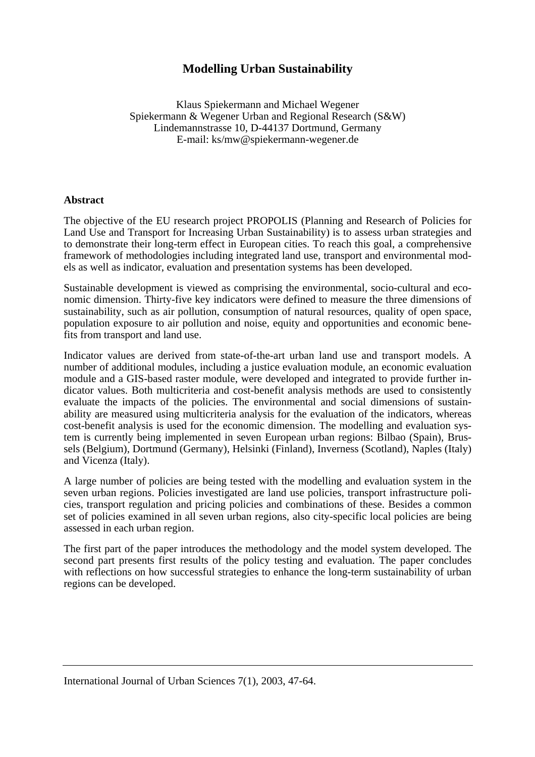# **Modelling Urban Sustainability**

Klaus Spiekermann and Michael Wegener Spiekermann & Wegener Urban and Regional Research (S&W) Lindemannstrasse 10, D-44137 Dortmund, Germany E-mail: ks/mw@spiekermann-wegener.de

# **Abstract**

The objective of the EU research project PROPOLIS (Planning and Research of Policies for Land Use and Transport for Increasing Urban Sustainability) is to assess urban strategies and to demonstrate their long-term effect in European cities. To reach this goal, a comprehensive framework of methodologies including integrated land use, transport and environmental models as well as indicator, evaluation and presentation systems has been developed.

Sustainable development is viewed as comprising the environmental, socio-cultural and economic dimension. Thirty-five key indicators were defined to measure the three dimensions of sustainability, such as air pollution, consumption of natural resources, quality of open space, population exposure to air pollution and noise, equity and opportunities and economic benefits from transport and land use.

Indicator values are derived from state-of-the-art urban land use and transport models. A number of additional modules, including a justice evaluation module, an economic evaluation module and a GIS-based raster module, were developed and integrated to provide further indicator values. Both multicriteria and cost-benefit analysis methods are used to consistently evaluate the impacts of the policies. The environmental and social dimensions of sustainability are measured using multicriteria analysis for the evaluation of the indicators, whereas cost-benefit analysis is used for the economic dimension. The modelling and evaluation system is currently being implemented in seven European urban regions: Bilbao (Spain), Brussels (Belgium), Dortmund (Germany), Helsinki (Finland), Inverness (Scotland), Naples (Italy) and Vicenza (Italy).

A large number of policies are being tested with the modelling and evaluation system in the seven urban regions. Policies investigated are land use policies, transport infrastructure policies, transport regulation and pricing policies and combinations of these. Besides a common set of policies examined in all seven urban regions, also city-specific local policies are being assessed in each urban region.

The first part of the paper introduces the methodology and the model system developed. The second part presents first results of the policy testing and evaluation. The paper concludes with reflections on how successful strategies to enhance the long-term sustainability of urban regions can be developed.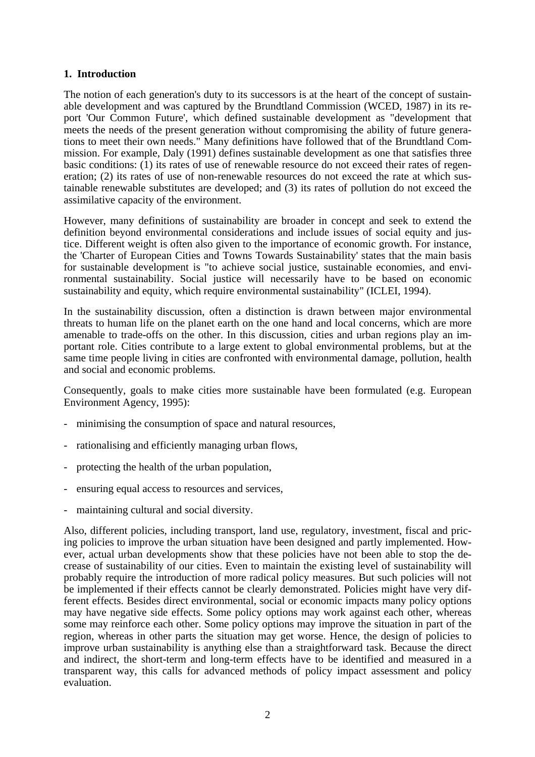## **1. Introduction**

The notion of each generation's duty to its successors is at the heart of the concept of sustainable development and was captured by the Brundtland Commission (WCED, 1987) in its report 'Our Common Future', which defined sustainable development as "development that meets the needs of the present generation without compromising the ability of future generations to meet their own needs." Many definitions have followed that of the Brundtland Commission. For example, Daly (1991) defines sustainable development as one that satisfies three basic conditions: (1) its rates of use of renewable resource do not exceed their rates of regeneration; (2) its rates of use of non-renewable resources do not exceed the rate at which sustainable renewable substitutes are developed; and (3) its rates of pollution do not exceed the assimilative capacity of the environment.

However, many definitions of sustainability are broader in concept and seek to extend the definition beyond environmental considerations and include issues of social equity and justice. Different weight is often also given to the importance of economic growth. For instance, the 'Charter of European Cities and Towns Towards Sustainability' states that the main basis for sustainable development is "to achieve social justice, sustainable economies, and environmental sustainability. Social justice will necessarily have to be based on economic sustainability and equity, which require environmental sustainability" (ICLEI, 1994).

In the sustainability discussion, often a distinction is drawn between major environmental threats to human life on the planet earth on the one hand and local concerns, which are more amenable to trade-offs on the other. In this discussion, cities and urban regions play an important role. Cities contribute to a large extent to global environmental problems, but at the same time people living in cities are confronted with environmental damage, pollution, health and social and economic problems.

Consequently, goals to make cities more sustainable have been formulated (e.g. European Environment Agency, 1995):

- minimising the consumption of space and natural resources,
- rationalising and efficiently managing urban flows,
- protecting the health of the urban population,
- ensuring equal access to resources and services,
- maintaining cultural and social diversity.

Also, different policies, including transport, land use, regulatory, investment, fiscal and pricing policies to improve the urban situation have been designed and partly implemented. However, actual urban developments show that these policies have not been able to stop the decrease of sustainability of our cities. Even to maintain the existing level of sustainability will probably require the introduction of more radical policy measures. But such policies will not be implemented if their effects cannot be clearly demonstrated. Policies might have very different effects. Besides direct environmental, social or economic impacts many policy options may have negative side effects. Some policy options may work against each other, whereas some may reinforce each other. Some policy options may improve the situation in part of the region, whereas in other parts the situation may get worse. Hence, the design of policies to improve urban sustainability is anything else than a straightforward task. Because the direct and indirect, the short-term and long-term effects have to be identified and measured in a transparent way, this calls for advanced methods of policy impact assessment and policy evaluation.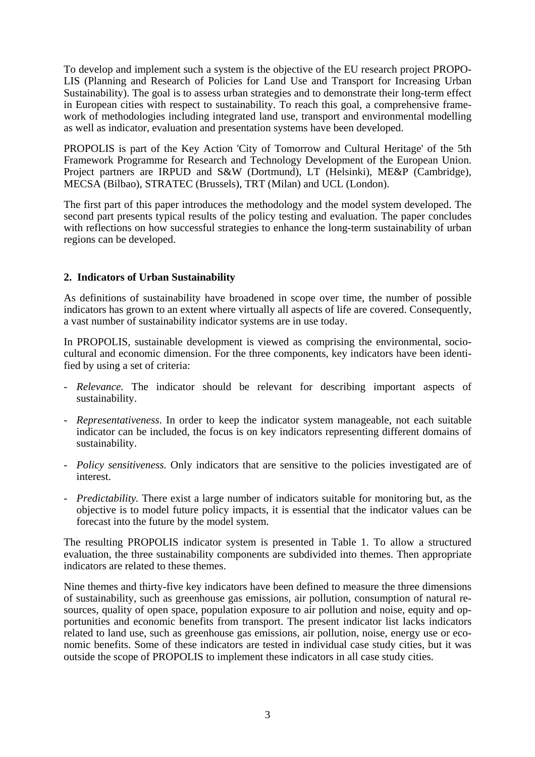To develop and implement such a system is the objective of the EU research project PROPO-LIS (Planning and Research of Policies for Land Use and Transport for Increasing Urban Sustainability). The goal is to assess urban strategies and to demonstrate their long-term effect in European cities with respect to sustainability. To reach this goal, a comprehensive framework of methodologies including integrated land use, transport and environmental modelling as well as indicator, evaluation and presentation systems have been developed.

PROPOLIS is part of the Key Action 'City of Tomorrow and Cultural Heritage' of the 5th Framework Programme for Research and Technology Development of the European Union. Project partners are IRPUD and S&W (Dortmund), LT (Helsinki), ME&P (Cambridge), MECSA (Bilbao), STRATEC (Brussels), TRT (Milan) and UCL (London).

The first part of this paper introduces the methodology and the model system developed. The second part presents typical results of the policy testing and evaluation. The paper concludes with reflections on how successful strategies to enhance the long-term sustainability of urban regions can be developed.

# **2. Indicators of Urban Sustainability**

As definitions of sustainability have broadened in scope over time, the number of possible indicators has grown to an extent where virtually all aspects of life are covered. Consequently, a vast number of sustainability indicator systems are in use today.

In PROPOLIS, sustainable development is viewed as comprising the environmental, sociocultural and economic dimension. For the three components, key indicators have been identified by using a set of criteria:

- *Relevance.* The indicator should be relevant for describing important aspects of sustainability.
- *Representativeness*. In order to keep the indicator system manageable, not each suitable indicator can be included, the focus is on key indicators representing different domains of sustainability.
- *Policy sensitiveness.* Only indicators that are sensitive to the policies investigated are of interest.
- *Predictability.* There exist a large number of indicators suitable for monitoring but, as the objective is to model future policy impacts, it is essential that the indicator values can be forecast into the future by the model system.

The resulting PROPOLIS indicator system is presented in Table 1. To allow a structured evaluation, the three sustainability components are subdivided into themes. Then appropriate indicators are related to these themes.

Nine themes and thirty-five key indicators have been defined to measure the three dimensions of sustainability, such as greenhouse gas emissions, air pollution, consumption of natural resources, quality of open space, population exposure to air pollution and noise, equity and opportunities and economic benefits from transport. The present indicator list lacks indicators related to land use, such as greenhouse gas emissions, air pollution, noise, energy use or economic benefits. Some of these indicators are tested in individual case study cities, but it was outside the scope of PROPOLIS to implement these indicators in all case study cities.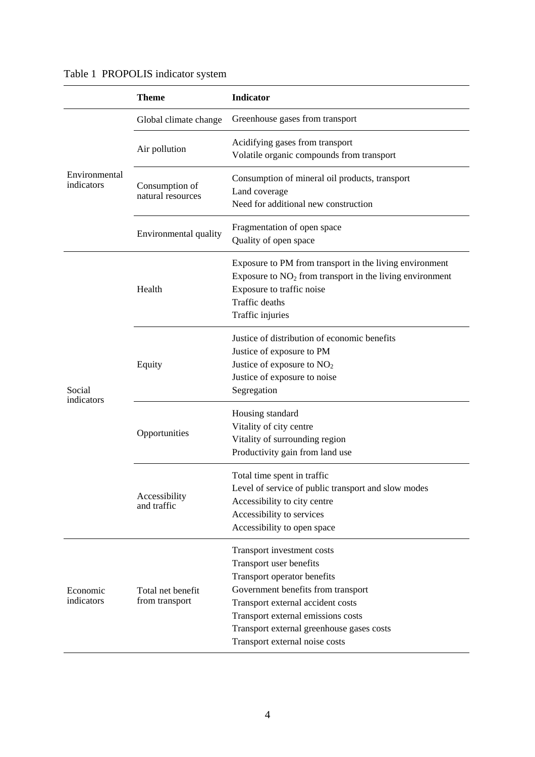|                             | <b>Theme</b>                                                                                                                                                                                                                                                                                                                | <b>Indicator</b>                                                                                                                                                                                |  |  |
|-----------------------------|-----------------------------------------------------------------------------------------------------------------------------------------------------------------------------------------------------------------------------------------------------------------------------------------------------------------------------|-------------------------------------------------------------------------------------------------------------------------------------------------------------------------------------------------|--|--|
| Environmental<br>indicators | Global climate change                                                                                                                                                                                                                                                                                                       | Greenhouse gases from transport                                                                                                                                                                 |  |  |
|                             | Air pollution                                                                                                                                                                                                                                                                                                               | Acidifying gases from transport<br>Volatile organic compounds from transport                                                                                                                    |  |  |
|                             | Consumption of<br>natural resources                                                                                                                                                                                                                                                                                         | Consumption of mineral oil products, transport<br>Land coverage<br>Need for additional new construction                                                                                         |  |  |
|                             | Environmental quality                                                                                                                                                                                                                                                                                                       | Fragmentation of open space<br>Quality of open space                                                                                                                                            |  |  |
| Social<br>indicators        | Health                                                                                                                                                                                                                                                                                                                      | Exposure to PM from transport in the living environment<br>Exposure to $NO2$ from transport in the living environment<br>Exposure to traffic noise<br><b>Traffic</b> deaths<br>Traffic injuries |  |  |
|                             | Equity                                                                                                                                                                                                                                                                                                                      | Justice of distribution of economic benefits<br>Justice of exposure to PM<br>Justice of exposure to $NO2$<br>Justice of exposure to noise<br>Segregation                                        |  |  |
|                             | Opportunities                                                                                                                                                                                                                                                                                                               | Housing standard<br>Vitality of city centre<br>Vitality of surrounding region<br>Productivity gain from land use                                                                                |  |  |
|                             | Accessibility<br>and traffic                                                                                                                                                                                                                                                                                                | Total time spent in traffic<br>Level of service of public transport and slow modes<br>Accessibility to city centre<br>Accessibility to services<br>Accessibility to open space                  |  |  |
| Economic<br>indicators      | Transport investment costs<br>Transport user benefits<br>Transport operator benefits<br>Government benefits from transport<br>Total net benefit<br>from transport<br>Transport external accident costs<br>Transport external emissions costs<br>Transport external greenhouse gases costs<br>Transport external noise costs |                                                                                                                                                                                                 |  |  |

|  | Table 1 PROPOLIS indicator system |  |  |
|--|-----------------------------------|--|--|
|--|-----------------------------------|--|--|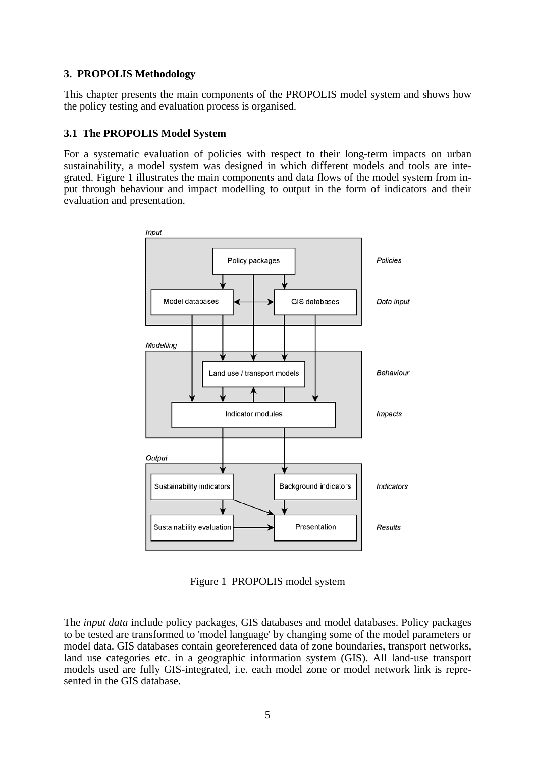# **3. PROPOLIS Methodology**

This chapter presents the main components of the PROPOLIS model system and shows how the policy testing and evaluation process is organised.

### **3.1 The PROPOLIS Model System**

For a systematic evaluation of policies with respect to their long-term impacts on urban sustainability, a model system was designed in which different models and tools are integrated. Figure 1 illustrates the main components and data flows of the model system from input through behaviour and impact modelling to output in the form of indicators and their evaluation and presentation.



Figure 1 PROPOLIS model system

The *input data* include policy packages, GIS databases and model databases. Policy packages to be tested are transformed to 'model language' by changing some of the model parameters or model data. GIS databases contain georeferenced data of zone boundaries, transport networks, land use categories etc. in a geographic information system (GIS). All land-use transport models used are fully GIS-integrated, i.e. each model zone or model network link is represented in the GIS database.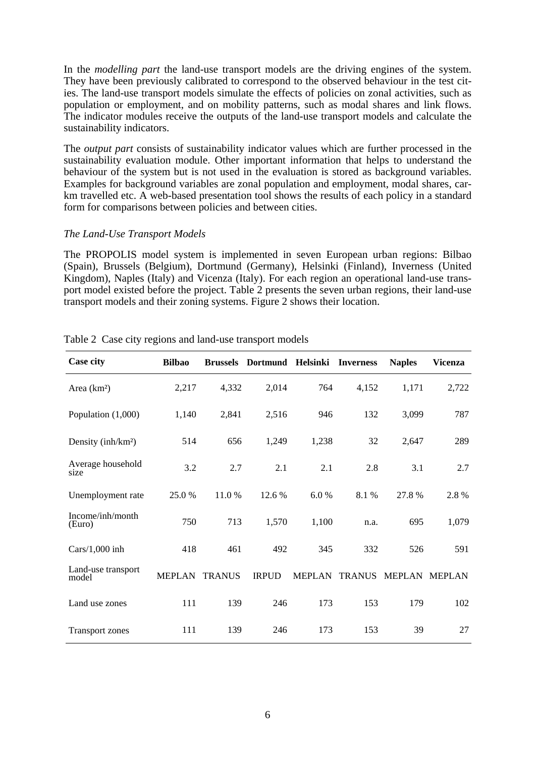In the *modelling part* the land-use transport models are the driving engines of the system. They have been previously calibrated to correspond to the observed behaviour in the test cities. The land-use transport models simulate the effects of policies on zonal activities, such as population or employment, and on mobility patterns, such as modal shares and link flows. The indicator modules receive the outputs of the land-use transport models and calculate the sustainability indicators.

The *output part* consists of sustainability indicator values which are further processed in the sustainability evaluation module. Other important information that helps to understand the behaviour of the system but is not used in the evaluation is stored as background variables. Examples for background variables are zonal population and employment, modal shares, carkm travelled etc. A web-based presentation tool shows the results of each policy in a standard form for comparisons between policies and between cities.

#### *The Land-Use Transport Models*

The PROPOLIS model system is implemented in seven European urban regions: Bilbao (Spain), Brussels (Belgium), Dortmund (Germany), Helsinki (Finland), Inverness (United Kingdom), Naples (Italy) and Vicenza (Italy). For each region an operational land-use transport model existed before the project. Table 2 presents the seven urban regions, their land-use transport models and their zoning systems. Figure 2 shows their location.

| <b>Case city</b>               | <b>Bilbao</b> | <b>Brussels</b> | <b>Dortmund</b> | Helsinki      | <b>Inverness</b> | <b>Naples</b> | <b>Vicenza</b> |
|--------------------------------|---------------|-----------------|-----------------|---------------|------------------|---------------|----------------|
| Area (km <sup>2</sup> )        | 2,217         | 4,332           | 2,014           | 764           | 4,152            | 1,171         | 2,722          |
| Population (1,000)             | 1,140         | 2,841           | 2,516           | 946           | 132              | 3,099         | 787            |
| Density (inh/km <sup>2</sup> ) | 514           | 656             | 1,249           | 1,238         | 32               | 2,647         | 289            |
| Average household<br>size      | 3.2           | 2.7             | 2.1             | 2.1           | 2.8              | 3.1           | 2.7            |
| Unemployment rate              | 25.0%         | 11.0%           | 12.6 %          | 6.0%          | 8.1%             | 27.8%         | 2.8%           |
| Income/inh/month<br>(Euro)     | 750           | 713             | 1,570           | 1,100         | n.a.             | 695           | 1,079          |
| $Cars/1,000$ inh               | 418           | 461             | 492             | 345           | 332              | 526           | 591            |
| Land-use transport<br>model    | <b>MEPLAN</b> | <b>TRANUS</b>   | <b>IRPUD</b>    | <b>MEPLAN</b> | <b>TRANUS</b>    |               | MEPLAN MEPLAN  |
| Land use zones                 | 111           | 139             | 246             | 173           | 153              | 179           | 102            |
| <b>Transport zones</b>         | 111           | 139             | 246             | 173           | 153              | 39            | 27             |

#### Table 2 Case city regions and land-use transport models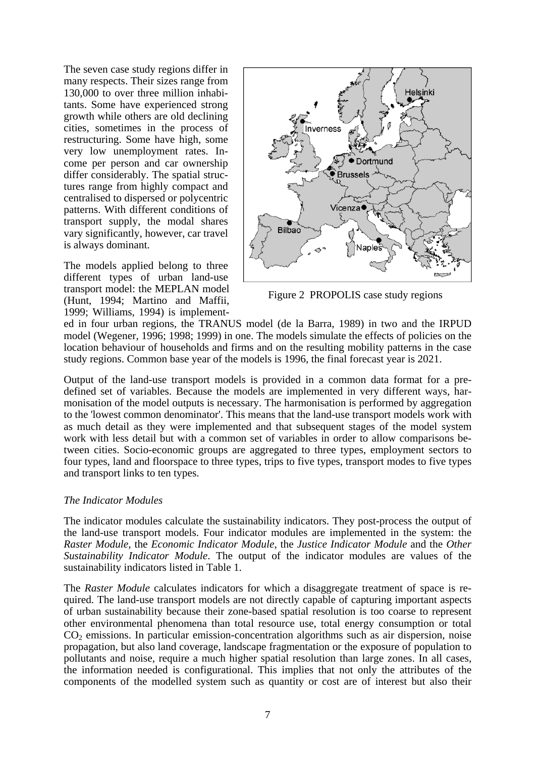The seven case study regions differ in many respects. Their sizes range from 130,000 to over three million inhabitants. Some have experienced strong growth while others are old declining cities, sometimes in the process of restructuring. Some have high, some very low unemployment rates. Income per person and car ownership differ considerably. The spatial structures range from highly compact and centralised to dispersed or polycentric patterns. With different conditions of transport supply, the modal shares vary significantly, however, car travel is always dominant.

The models applied belong to three different types of urban land-use transport model: the MEPLAN model (Hunt, 1994; Martino and Maffii, 1999; Williams, 1994) is implement-



Figure 2 PROPOLIS case study regions

ed in four urban regions, the TRANUS model (de la Barra, 1989) in two and the IRPUD model (Wegener, 1996; 1998; 1999) in one. The models simulate the effects of policies on the location behaviour of households and firms and on the resulting mobility patterns in the case study regions. Common base year of the models is 1996, the final forecast year is 2021.

Output of the land-use transport models is provided in a common data format for a predefined set of variables. Because the models are implemented in very different ways, harmonisation of the model outputs is necessary. The harmonisation is performed by aggregation to the 'lowest common denominator'. This means that the land-use transport models work with as much detail as they were implemented and that subsequent stages of the model system work with less detail but with a common set of variables in order to allow comparisons between cities. Socio-economic groups are aggregated to three types, employment sectors to four types, land and floorspace to three types, trips to five types, transport modes to five types and transport links to ten types.

#### *The Indicator Modules*

The indicator modules calculate the sustainability indicators. They post-process the output of the land-use transport models. Four indicator modules are implemented in the system: the *Raster Module*, the *Economic Indicator Module*, the *Justice Indicator Module* and the *Other Sustainability Indicator Module*. The output of the indicator modules are values of the sustainability indicators listed in Table 1.

The *Raster Module* calculates indicators for which a disaggregate treatment of space is required. The land-use transport models are not directly capable of capturing important aspects of urban sustainability because their zone-based spatial resolution is too coarse to represent other environmental phenomena than total resource use, total energy consumption or total  $CO<sub>2</sub>$  emissions. In particular emission-concentration algorithms such as air dispersion, noise propagation, but also land coverage, landscape fragmentation or the exposure of population to pollutants and noise, require a much higher spatial resolution than large zones. In all cases, the information needed is configurational. This implies that not only the attributes of the components of the modelled system such as quantity or cost are of interest but also their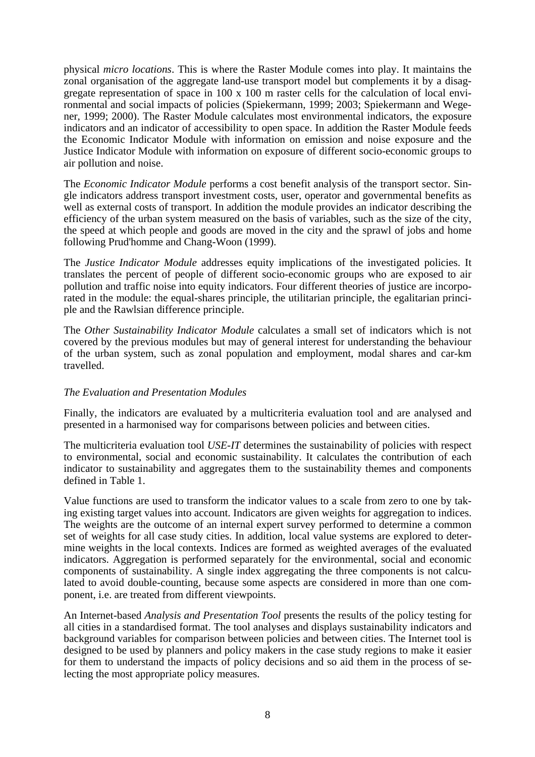physical *micro locations*. This is where the Raster Module comes into play. It maintains the zonal organisation of the aggregate land-use transport model but complements it by a disaggregate representation of space in 100 x 100 m raster cells for the calculation of local environmental and social impacts of policies (Spiekermann, 1999; 2003; Spiekermann and Wegener, 1999; 2000). The Raster Module calculates most environmental indicators, the exposure indicators and an indicator of accessibility to open space. In addition the Raster Module feeds the Economic Indicator Module with information on emission and noise exposure and the Justice Indicator Module with information on exposure of different socio-economic groups to air pollution and noise.

The *Economic Indicator Module* performs a cost benefit analysis of the transport sector. Single indicators address transport investment costs, user, operator and governmental benefits as well as external costs of transport. In addition the module provides an indicator describing the efficiency of the urban system measured on the basis of variables, such as the size of the city, the speed at which people and goods are moved in the city and the sprawl of jobs and home following Prud'homme and Chang-Woon (1999).

The *Justice Indicator Module* addresses equity implications of the investigated policies. It translates the percent of people of different socio-economic groups who are exposed to air pollution and traffic noise into equity indicators. Four different theories of justice are incorporated in the module: the equal-shares principle, the utilitarian principle, the egalitarian principle and the Rawlsian difference principle.

The *Other Sustainability Indicator Module* calculates a small set of indicators which is not covered by the previous modules but may of general interest for understanding the behaviour of the urban system, such as zonal population and employment, modal shares and car-km travelled.

#### *The Evaluation and Presentation Modules*

Finally, the indicators are evaluated by a multicriteria evaluation tool and are analysed and presented in a harmonised way for comparisons between policies and between cities.

The multicriteria evaluation tool *USE-IT* determines the sustainability of policies with respect to environmental, social and economic sustainability. It calculates the contribution of each indicator to sustainability and aggregates them to the sustainability themes and components defined in Table 1.

Value functions are used to transform the indicator values to a scale from zero to one by taking existing target values into account. Indicators are given weights for aggregation to indices. The weights are the outcome of an internal expert survey performed to determine a common set of weights for all case study cities. In addition, local value systems are explored to determine weights in the local contexts. Indices are formed as weighted averages of the evaluated indicators. Aggregation is performed separately for the environmental, social and economic components of sustainability. A single index aggregating the three components is not calculated to avoid double-counting, because some aspects are considered in more than one component, i.e. are treated from different viewpoints.

An Internet-based *Analysis and Presentation Tool* presents the results of the policy testing for all cities in a standardised format. The tool analyses and displays sustainability indicators and background variables for comparison between policies and between cities. The Internet tool is designed to be used by planners and policy makers in the case study regions to make it easier for them to understand the impacts of policy decisions and so aid them in the process of selecting the most appropriate policy measures.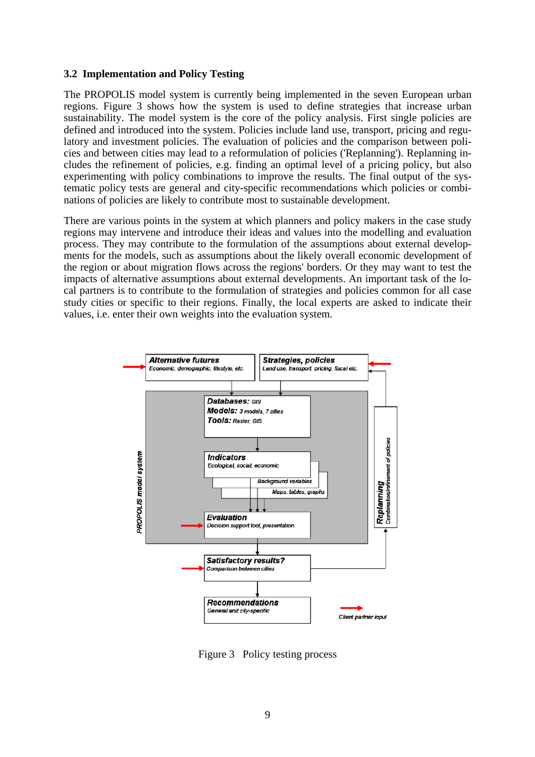#### **3.2 Implementation and Policy Testing**

The PROPOLIS model system is currently being implemented in the seven European urban regions. Figure 3 shows how the system is used to define strategies that increase urban sustainability. The model system is the core of the policy analysis. First single policies are defined and introduced into the system. Policies include land use, transport, pricing and regulatory and investment policies. The evaluation of policies and the comparison between policies and between cities may lead to a reformulation of policies ('Replanning'). Replanning includes the refinement of policies, e.g. finding an optimal level of a pricing policy, but also experimenting with policy combinations to improve the results. The final output of the systematic policy tests are general and city-specific recommendations which policies or combinations of policies are likely to contribute most to sustainable development.

There are various points in the system at which planners and policy makers in the case study regions may intervene and introduce their ideas and values into the modelling and evaluation process. They may contribute to the formulation of the assumptions about external developments for the models, such as assumptions about the likely overall economic development of the region or about migration flows across the regions' borders. Or they may want to test the impacts of alternative assumptions about external developments. An important task of the local partners is to contribute to the formulation of strategies and policies common for all case study cities or specific to their regions. Finally, the local experts are asked to indicate their values, i.e. enter their own weights into the evaluation system.



Figure 3 Policy testing process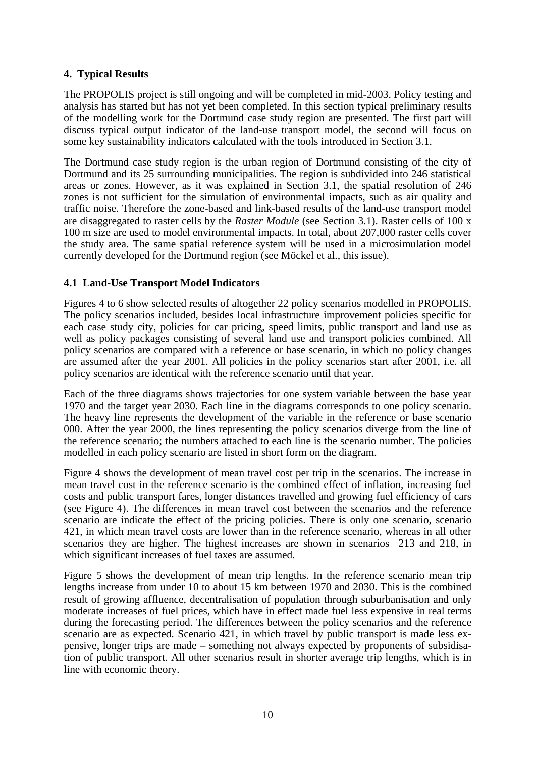# **4. Typical Results**

The PROPOLIS project is still ongoing and will be completed in mid-2003. Policy testing and analysis has started but has not yet been completed. In this section typical preliminary results of the modelling work for the Dortmund case study region are presented. The first part will discuss typical output indicator of the land-use transport model, the second will focus on some key sustainability indicators calculated with the tools introduced in Section 3.1.

The Dortmund case study region is the urban region of Dortmund consisting of the city of Dortmund and its 25 surrounding municipalities. The region is subdivided into 246 statistical areas or zones. However, as it was explained in Section 3.1, the spatial resolution of 246 zones is not sufficient for the simulation of environmental impacts, such as air quality and traffic noise. Therefore the zone-based and link-based results of the land-use transport model are disaggregated to raster cells by the *Raster Module* (see Section 3.1). Raster cells of 100 x 100 m size are used to model environmental impacts. In total, about 207,000 raster cells cover the study area. The same spatial reference system will be used in a microsimulation model currently developed for the Dortmund region (see Möckel et al., this issue).

# **4.1 Land-Use Transport Model Indicators**

Figures 4 to 6 show selected results of altogether 22 policy scenarios modelled in PROPOLIS. The policy scenarios included, besides local infrastructure improvement policies specific for each case study city, policies for car pricing, speed limits, public transport and land use as well as policy packages consisting of several land use and transport policies combined. All policy scenarios are compared with a reference or base scenario, in which no policy changes are assumed after the year 2001. All policies in the policy scenarios start after 2001, i.e. all policy scenarios are identical with the reference scenario until that year.

Each of the three diagrams shows trajectories for one system variable between the base year 1970 and the target year 2030. Each line in the diagrams corresponds to one policy scenario. The heavy line represents the development of the variable in the reference or base scenario 000. After the year 2000, the lines representing the policy scenarios diverge from the line of the reference scenario; the numbers attached to each line is the scenario number. The policies modelled in each policy scenario are listed in short form on the diagram.

Figure 4 shows the development of mean travel cost per trip in the scenarios. The increase in mean travel cost in the reference scenario is the combined effect of inflation, increasing fuel costs and public transport fares, longer distances travelled and growing fuel efficiency of cars (see Figure 4). The differences in mean travel cost between the scenarios and the reference scenario are indicate the effect of the pricing policies. There is only one scenario, scenario 421, in which mean travel costs are lower than in the reference scenario, whereas in all other scenarios they are higher. The highest increases are shown in scenarios 213 and 218, in which significant increases of fuel taxes are assumed.

Figure 5 shows the development of mean trip lengths. In the reference scenario mean trip lengths increase from under 10 to about 15 km between 1970 and 2030. This is the combined result of growing affluence, decentralisation of population through suburbanisation and only moderate increases of fuel prices, which have in effect made fuel less expensive in real terms during the forecasting period. The differences between the policy scenarios and the reference scenario are as expected. Scenario 421, in which travel by public transport is made less expensive, longer trips are made – something not always expected by proponents of subsidisation of public transport. All other scenarios result in shorter average trip lengths, which is in line with economic theory.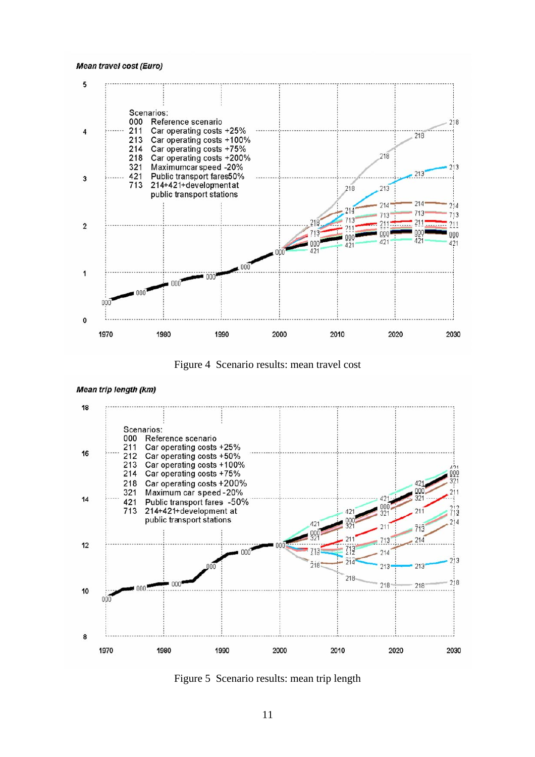#### **Mean travel cost (Euro)**







Figure 5 Scenario results: mean trip length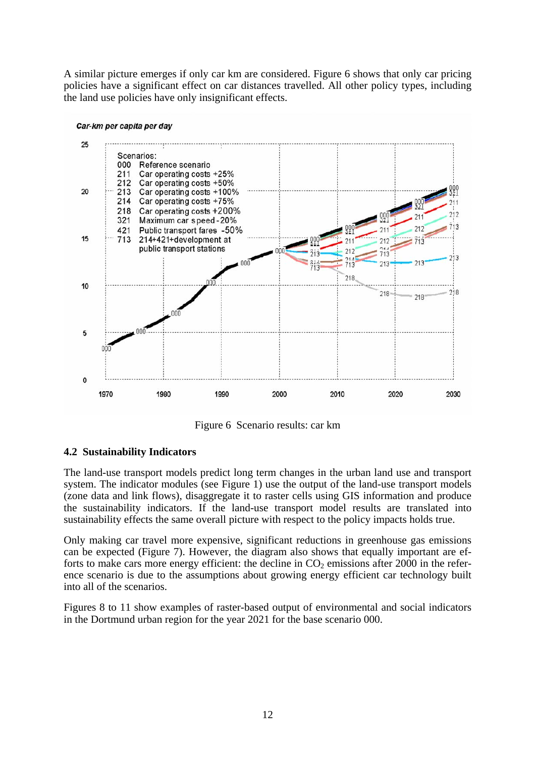A similar picture emerges if only car km are considered. Figure 6 shows that only car pricing policies have a significant effect on car distances travelled. All other policy types, including the land use policies have only insignificant effects.



Figure 6 Scenario results: car km

# **4.2 Sustainability Indicators**

The land-use transport models predict long term changes in the urban land use and transport system. The indicator modules (see Figure 1) use the output of the land-use transport models (zone data and link flows), disaggregate it to raster cells using GIS information and produce the sustainability indicators. If the land-use transport model results are translated into sustainability effects the same overall picture with respect to the policy impacts holds true.

Only making car travel more expensive, significant reductions in greenhouse gas emissions can be expected (Figure 7). However, the diagram also shows that equally important are efforts to make cars more energy efficient: the decline in  $CO<sub>2</sub>$  emissions after 2000 in the reference scenario is due to the assumptions about growing energy efficient car technology built into all of the scenarios.

Figures 8 to 11 show examples of raster-based output of environmental and social indicators in the Dortmund urban region for the year 2021 for the base scenario 000.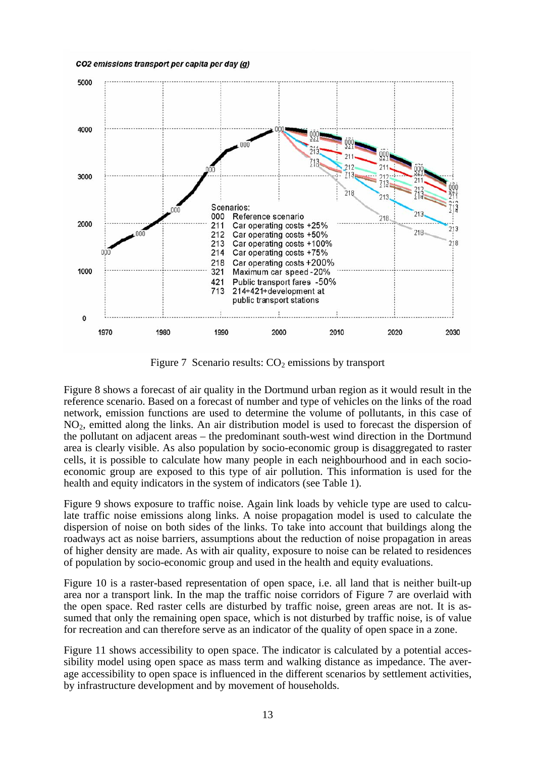CO2 emissions transport per capita per day (g)



Figure 7 Scenario results:  $CO<sub>2</sub>$  emissions by transport

Figure 8 shows a forecast of air quality in the Dortmund urban region as it would result in the reference scenario. Based on a forecast of number and type of vehicles on the links of the road network, emission functions are used to determine the volume of pollutants, in this case of NO<sub>2</sub>, emitted along the links. An air distribution model is used to forecast the dispersion of the pollutant on adjacent areas – the predominant south-west wind direction in the Dortmund area is clearly visible. As also population by socio-economic group is disaggregated to raster cells, it is possible to calculate how many people in each neighbourhood and in each socioeconomic group are exposed to this type of air pollution. This information is used for the health and equity indicators in the system of indicators (see Table 1).

Figure 9 shows exposure to traffic noise. Again link loads by vehicle type are used to calculate traffic noise emissions along links. A noise propagation model is used to calculate the dispersion of noise on both sides of the links. To take into account that buildings along the roadways act as noise barriers, assumptions about the reduction of noise propagation in areas of higher density are made. As with air quality, exposure to noise can be related to residences of population by socio-economic group and used in the health and equity evaluations.

Figure 10 is a raster-based representation of open space, i.e. all land that is neither built-up area nor a transport link. In the map the traffic noise corridors of Figure 7 are overlaid with the open space. Red raster cells are disturbed by traffic noise, green areas are not. It is assumed that only the remaining open space, which is not disturbed by traffic noise, is of value for recreation and can therefore serve as an indicator of the quality of open space in a zone.

Figure 11 shows accessibility to open space. The indicator is calculated by a potential accessibility model using open space as mass term and walking distance as impedance. The average accessibility to open space is influenced in the different scenarios by settlement activities, by infrastructure development and by movement of households.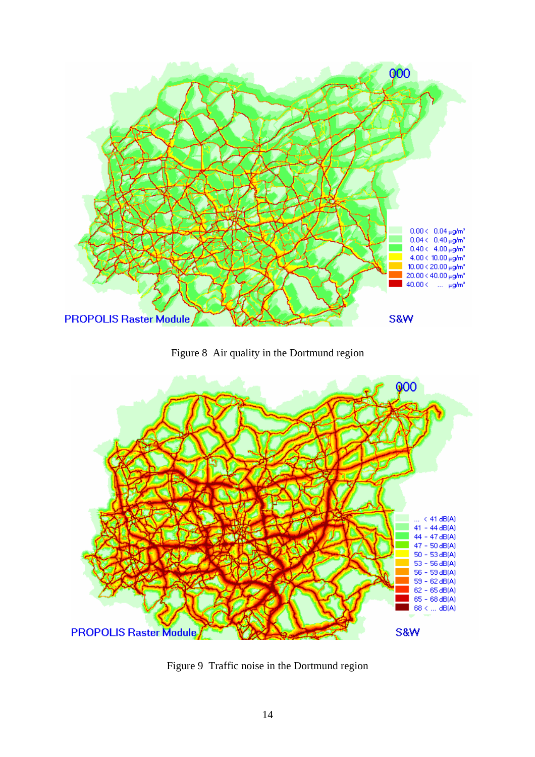

Figure 8 Air quality in the Dortmund region



Figure 9 Traffic noise in the Dortmund region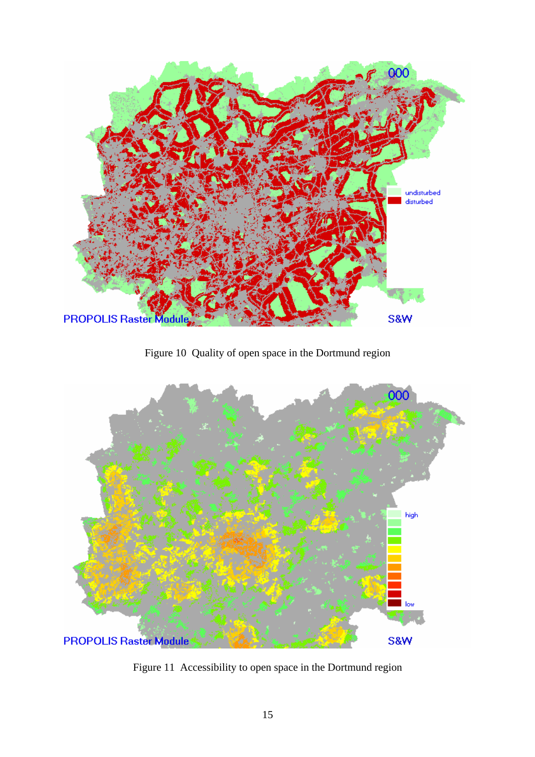

Figure 10 Quality of open space in the Dortmund region



Figure 11 Accessibility to open space in the Dortmund region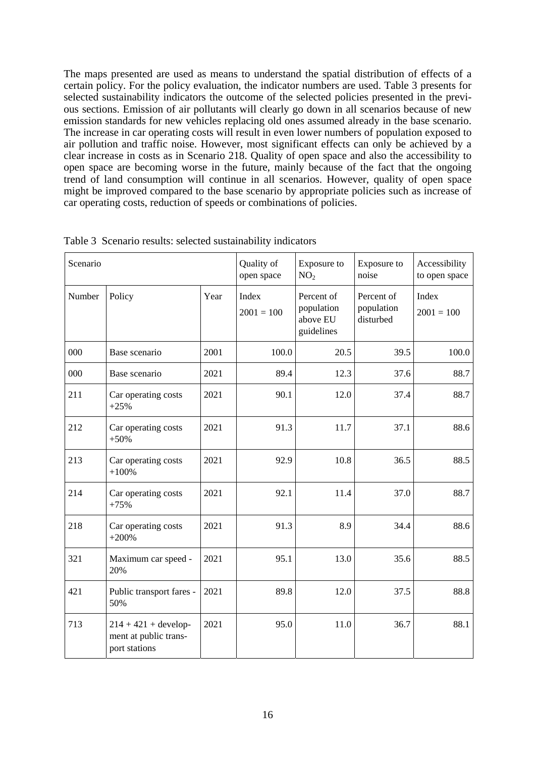The maps presented are used as means to understand the spatial distribution of effects of a certain policy. For the policy evaluation, the indicator numbers are used. Table 3 presents for selected sustainability indicators the outcome of the selected policies presented in the previous sections. Emission of air pollutants will clearly go down in all scenarios because of new emission standards for new vehicles replacing old ones assumed already in the base scenario. The increase in car operating costs will result in even lower numbers of population exposed to air pollution and traffic noise. However, most significant effects can only be achieved by a clear increase in costs as in Scenario 218. Quality of open space and also the accessibility to open space are becoming worse in the future, mainly because of the fact that the ongoing trend of land consumption will continue in all scenarios. However, quality of open space might be improved compared to the base scenario by appropriate policies such as increase of car operating costs, reduction of speeds or combinations of policies.

| Scenario |                                                                   |      | Quality of<br>open space | Exposure to<br>NO <sub>2</sub>                     | Exposure to<br>noise                  | Accessibility<br>to open space |
|----------|-------------------------------------------------------------------|------|--------------------------|----------------------------------------------------|---------------------------------------|--------------------------------|
| Number   | Policy                                                            | Year | Index<br>$2001 = 100$    | Percent of<br>population<br>above EU<br>guidelines | Percent of<br>population<br>disturbed | Index<br>$2001 = 100$          |
| 000      | Base scenario                                                     | 2001 | 100.0                    | 20.5                                               | 39.5                                  | 100.0                          |
| 000      | Base scenario                                                     | 2021 | 89.4                     | 12.3                                               | 37.6                                  | 88.7                           |
| 211      | Car operating costs<br>$+25%$                                     | 2021 | 90.1                     | 12.0                                               | 37.4                                  | 88.7                           |
| 212      | Car operating costs<br>$+50%$                                     | 2021 | 91.3                     | 11.7                                               | 37.1                                  | 88.6                           |
| 213      | Car operating costs<br>$+100%$                                    | 2021 | 92.9                     | 10.8                                               | 36.5                                  | 88.5                           |
| 214      | Car operating costs<br>$+75%$                                     | 2021 | 92.1                     | 11.4                                               | 37.0                                  | 88.7                           |
| 218      | Car operating costs<br>$+200%$                                    | 2021 | 91.3                     | 8.9                                                | 34.4                                  | 88.6                           |
| 321      | Maximum car speed -<br>20%                                        | 2021 | 95.1                     | 13.0                                               | 35.6                                  | 88.5                           |
| 421      | Public transport fares -<br>50%                                   | 2021 | 89.8                     | 12.0                                               | 37.5                                  | 88.8                           |
| 713      | $214 + 421 + $ develop-<br>ment at public trans-<br>port stations | 2021 | 95.0                     | 11.0                                               | 36.7                                  | 88.1                           |

Table 3 Scenario results: selected sustainability indicators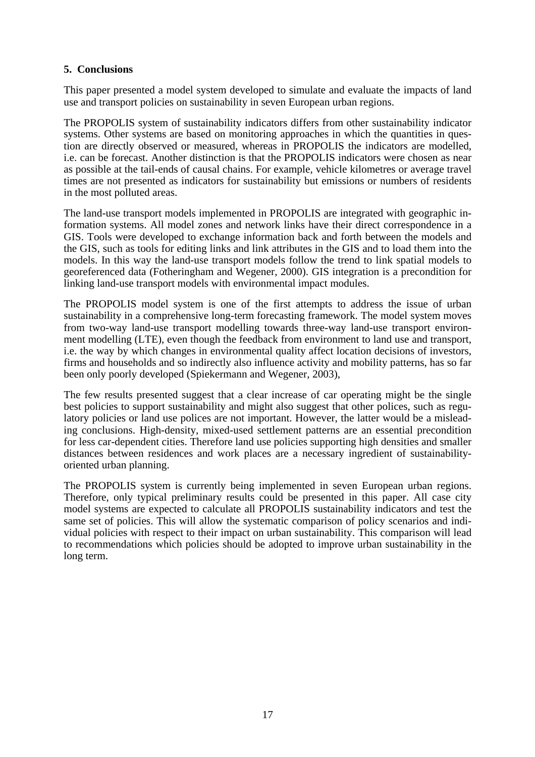# **5. Conclusions**

This paper presented a model system developed to simulate and evaluate the impacts of land use and transport policies on sustainability in seven European urban regions.

The PROPOLIS system of sustainability indicators differs from other sustainability indicator systems. Other systems are based on monitoring approaches in which the quantities in question are directly observed or measured, whereas in PROPOLIS the indicators are modelled, i.e. can be forecast. Another distinction is that the PROPOLIS indicators were chosen as near as possible at the tail-ends of causal chains. For example, vehicle kilometres or average travel times are not presented as indicators for sustainability but emissions or numbers of residents in the most polluted areas.

The land-use transport models implemented in PROPOLIS are integrated with geographic information systems. All model zones and network links have their direct correspondence in a GIS. Tools were developed to exchange information back and forth between the models and the GIS, such as tools for editing links and link attributes in the GIS and to load them into the models. In this way the land-use transport models follow the trend to link spatial models to georeferenced data (Fotheringham and Wegener, 2000). GIS integration is a precondition for linking land-use transport models with environmental impact modules.

The PROPOLIS model system is one of the first attempts to address the issue of urban sustainability in a comprehensive long-term forecasting framework. The model system moves from two-way land-use transport modelling towards three-way land-use transport environment modelling (LTE), even though the feedback from environment to land use and transport, i.e. the way by which changes in environmental quality affect location decisions of investors, firms and households and so indirectly also influence activity and mobility patterns, has so far been only poorly developed (Spiekermann and Wegener, 2003),

The few results presented suggest that a clear increase of car operating might be the single best policies to support sustainability and might also suggest that other polices, such as regulatory policies or land use polices are not important. However, the latter would be a misleading conclusions. High-density, mixed-used settlement patterns are an essential precondition for less car-dependent cities. Therefore land use policies supporting high densities and smaller distances between residences and work places are a necessary ingredient of sustainabilityoriented urban planning.

The PROPOLIS system is currently being implemented in seven European urban regions. Therefore, only typical preliminary results could be presented in this paper. All case city model systems are expected to calculate all PROPOLIS sustainability indicators and test the same set of policies. This will allow the systematic comparison of policy scenarios and individual policies with respect to their impact on urban sustainability. This comparison will lead to recommendations which policies should be adopted to improve urban sustainability in the long term.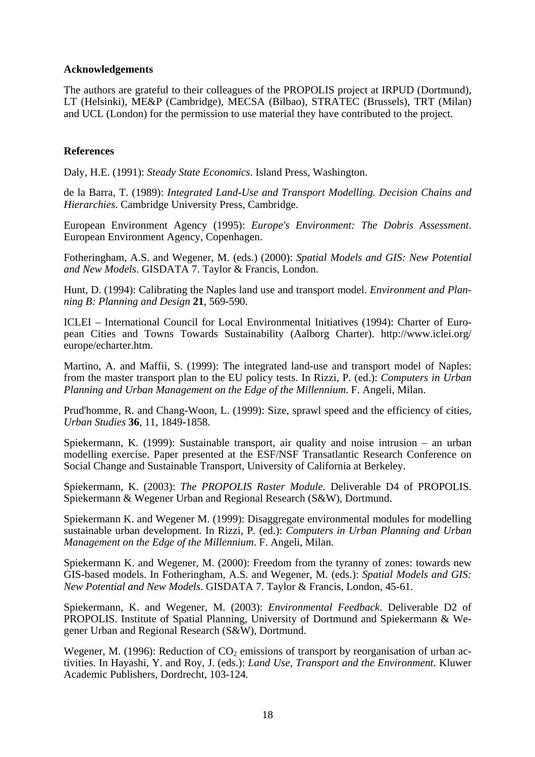#### **Acknowledgements**

The authors are grateful to their colleagues of the PROPOLIS project at IRPUD (Dortmund), LT (Helsinki), ME&P (Cambridge), MECSA (Bilbao), STRATEC (Brussels), TRT (Milan) and UCL (London) for the permission to use material they have contributed to the project.

#### **References**

Daly, H.E. (1991): *Steady State Economics*. Island Press, Washington.

de la Barra, T. (1989): *Integrated Land-Use and Transport Modelling. Decision Chains and Hierarchies*. Cambridge University Press, Cambridge.

European Environment Agency (1995): *Europe's Environment: The Dobris Assessment*. European Environment Agency, Copenhagen.

Fotheringham, A.S. and Wegener, M. (eds.) (2000): *Spatial Models and GIS: New Potential and New Models*. GISDATA 7. Taylor & Francis, London.

Hunt, D. (1994): Calibrating the Naples land use and transport model. *Environment and Planning B: Planning and Design* **21**, 569-590.

ICLEI – International Council for Local Environmental Initiatives (1994): Charter of European Cities and Towns Towards Sustainability (Aalborg Charter). http://www.iclei.org/ europe/echarter.htm.

Martino, A. and Maffii, S. (1999): The integrated land-use and transport model of Naples: from the master transport plan to the EU policy tests. In Rizzi, P. (ed.): *Computers in Urban Planning and Urban Management on the Edge of the Millennium*. F. Angeli, Milan.

Prud'homme, R. and Chang-Woon, L. (1999): Size, sprawl speed and the efficiency of cities, *Urban Studies* **36**, 11, 1849-1858.

Spiekermann, K. (1999): Sustainable transport, air quality and noise intrusion – an urban modelling exercise. Paper presented at the ESF/NSF Transatlantic Research Conference on Social Change and Sustainable Transport, University of California at Berkeley.

Spiekermann, K. (2003): *The PROPOLIS Raster Module.* Deliverable D4 of PROPOLIS. Spiekermann & Wegener Urban and Regional Research (S&W), Dortmund.

Spiekermann K. and Wegener M. (1999): Disaggregate environmental modules for modelling sustainable urban development. In Rizzi, P. (ed.): *Computers in Urban Planning and Urban Management on the Edge of the Millennium*. F. Angeli, Milan.

Spiekermann K. and Wegener, M. (2000): Freedom from the tyranny of zones: towards new GIS-based models. In Fotheringham, A.S. and Wegener, M. (eds.): *Spatial Models and GIS: New Potential and New Models*. GISDATA 7. Taylor & Francis, London, 45-61.

Spiekermann, K. and Wegener, M. (2003): *Environmental Feedback*. Deliverable D2 of PROPOLIS. Institute of Spatial Planning, University of Dortmund and Spiekermann & Wegener Urban and Regional Research (S&W), Dortmund.

Wegener, M. (1996): Reduction of  $CO<sub>2</sub>$  emissions of transport by reorganisation of urban activities. In Hayashi, Y. and Roy, J. (eds.): *Land Use, Transport and the Environment*. Kluwer Academic Publishers, Dordrecht, 103-124*.*